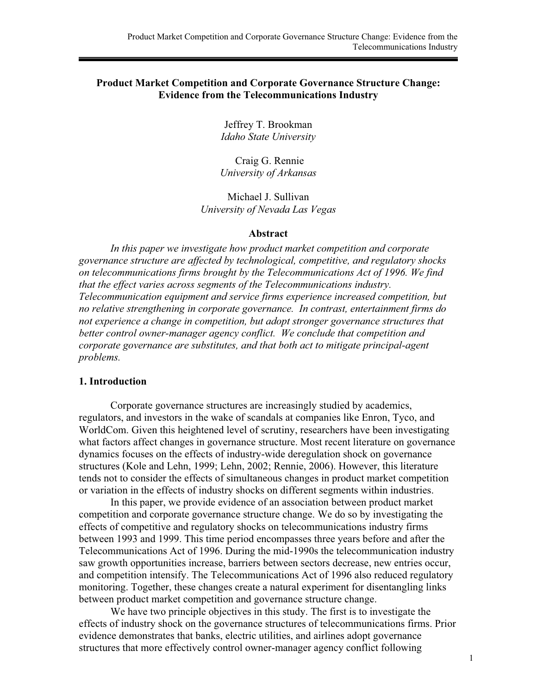## **Product Market Competition and Corporate Governance Structure Change: Evidence from the Telecommunications Industry**

Jeffrey T. Brookman *Idaho State University* 

 Craig G. Rennie *University of Arkansas* 

Michael J. Sullivan *University of Nevada Las Vegas* 

### **Abstract**

*In this paper we investigate how product market competition and corporate governance structure are affected by technological, competitive, and regulatory shocks on telecommunications firms brought by the Telecommunications Act of 1996. We find that the effect varies across segments of the Telecommunications industry. Telecommunication equipment and service firms experience increased competition, but no relative strengthening in corporate governance. In contrast, entertainment firms do not experience a change in competition, but adopt stronger governance structures that better control owner-manager agency conflict. We conclude that competition and corporate governance are substitutes, and that both act to mitigate principal-agent problems.* 

## **1. Introduction**

 Corporate governance structures are increasingly studied by academics, regulators, and investors in the wake of scandals at companies like Enron, Tyco, and WorldCom. Given this heightened level of scrutiny, researchers have been investigating what factors affect changes in governance structure. Most recent literature on governance dynamics focuses on the effects of industry-wide deregulation shock on governance structures (Kole and Lehn, 1999; Lehn, 2002; Rennie, 2006). However, this literature tends not to consider the effects of simultaneous changes in product market competition or variation in the effects of industry shocks on different segments within industries.

In this paper, we provide evidence of an association between product market competition and corporate governance structure change. We do so by investigating the effects of competitive and regulatory shocks on telecommunications industry firms between 1993 and 1999. This time period encompasses three years before and after the Telecommunications Act of 1996. During the mid-1990s the telecommunication industry saw growth opportunities increase, barriers between sectors decrease, new entries occur, and competition intensify. The Telecommunications Act of 1996 also reduced regulatory monitoring. Together, these changes create a natural experiment for disentangling links between product market competition and governance structure change.

We have two principle objectives in this study. The first is to investigate the effects of industry shock on the governance structures of telecommunications firms. Prior evidence demonstrates that banks, electric utilities, and airlines adopt governance structures that more effectively control owner-manager agency conflict following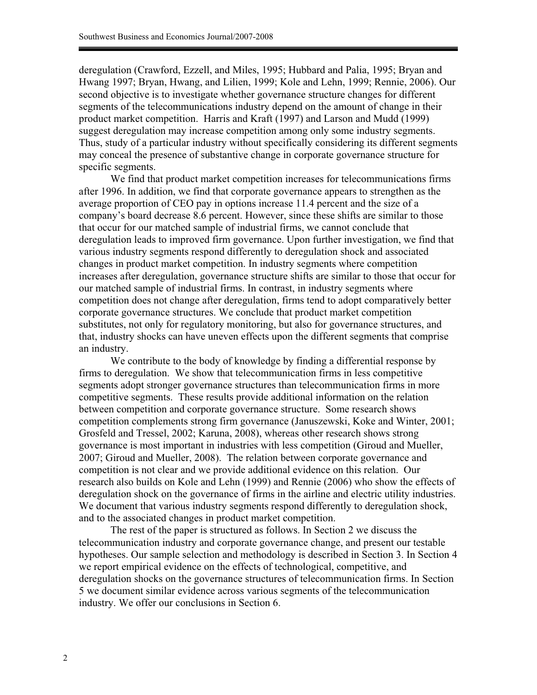deregulation (Crawford, Ezzell, and Miles, 1995; Hubbard and Palia, 1995; Bryan and Hwang 1997; Bryan, Hwang, and Lilien, 1999; Kole and Lehn, 1999; Rennie, 2006). Our second objective is to investigate whether governance structure changes for different segments of the telecommunications industry depend on the amount of change in their product market competition. Harris and Kraft (1997) and Larson and Mudd (1999) suggest deregulation may increase competition among only some industry segments. Thus, study of a particular industry without specifically considering its different segments may conceal the presence of substantive change in corporate governance structure for specific segments.

We find that product market competition increases for telecommunications firms after 1996. In addition, we find that corporate governance appears to strengthen as the average proportion of CEO pay in options increase 11.4 percent and the size of a company's board decrease 8.6 percent. However, since these shifts are similar to those that occur for our matched sample of industrial firms, we cannot conclude that deregulation leads to improved firm governance. Upon further investigation, we find that various industry segments respond differently to deregulation shock and associated changes in product market competition. In industry segments where competition increases after deregulation, governance structure shifts are similar to those that occur for our matched sample of industrial firms. In contrast, in industry segments where competition does not change after deregulation, firms tend to adopt comparatively better corporate governance structures. We conclude that product market competition substitutes, not only for regulatory monitoring, but also for governance structures, and that, industry shocks can have uneven effects upon the different segments that comprise an industry.

We contribute to the body of knowledge by finding a differential response by firms to deregulation. We show that telecommunication firms in less competitive segments adopt stronger governance structures than telecommunication firms in more competitive segments. These results provide additional information on the relation between competition and corporate governance structure. Some research shows competition complements strong firm governance (Januszewski, Koke and Winter, 2001; Grosfeld and Tressel, 2002; Karuna, 2008), whereas other research shows strong governance is most important in industries with less competition (Giroud and Mueller, 2007; Giroud and Mueller, 2008). The relation between corporate governance and competition is not clear and we provide additional evidence on this relation. Our research also builds on Kole and Lehn (1999) and Rennie (2006) who show the effects of deregulation shock on the governance of firms in the airline and electric utility industries. We document that various industry segments respond differently to deregulation shock, and to the associated changes in product market competition.

The rest of the paper is structured as follows. In Section 2 we discuss the telecommunication industry and corporate governance change, and present our testable hypotheses. Our sample selection and methodology is described in Section 3. In Section 4 we report empirical evidence on the effects of technological, competitive, and deregulation shocks on the governance structures of telecommunication firms. In Section 5 we document similar evidence across various segments of the telecommunication industry. We offer our conclusions in Section 6.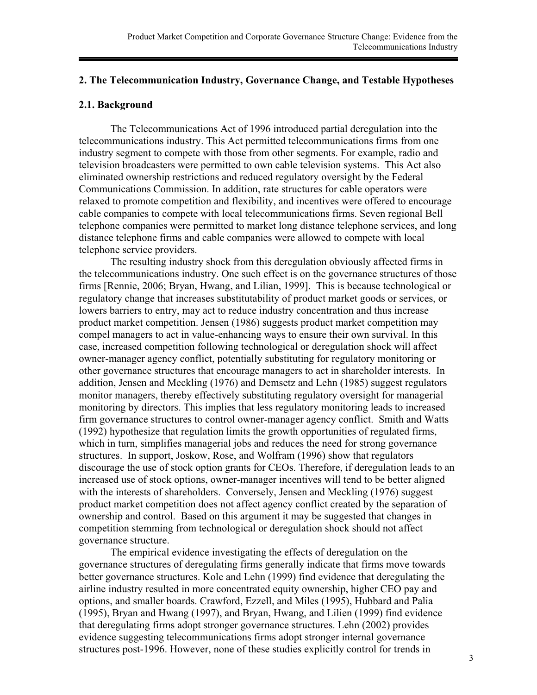## **2. The Telecommunication Industry, Governance Change, and Testable Hypotheses**

## **2.1. Background**

The Telecommunications Act of 1996 introduced partial deregulation into the telecommunications industry. This Act permitted telecommunications firms from one industry segment to compete with those from other segments. For example, radio and television broadcasters were permitted to own cable television systems. This Act also eliminated ownership restrictions and reduced regulatory oversight by the Federal Communications Commission. In addition, rate structures for cable operators were relaxed to promote competition and flexibility, and incentives were offered to encourage cable companies to compete with local telecommunications firms. Seven regional Bell telephone companies were permitted to market long distance telephone services, and long distance telephone firms and cable companies were allowed to compete with local telephone service providers.

The resulting industry shock from this deregulation obviously affected firms in the telecommunications industry. One such effect is on the governance structures of those firms [Rennie, 2006; Bryan, Hwang, and Lilian, 1999]. This is because technological or regulatory change that increases substitutability of product market goods or services, or lowers barriers to entry, may act to reduce industry concentration and thus increase product market competition. Jensen (1986) suggests product market competition may compel managers to act in value-enhancing ways to ensure their own survival. In this case, increased competition following technological or deregulation shock will affect owner-manager agency conflict, potentially substituting for regulatory monitoring or other governance structures that encourage managers to act in shareholder interests. In addition, Jensen and Meckling (1976) and Demsetz and Lehn (1985) suggest regulators monitor managers, thereby effectively substituting regulatory oversight for managerial monitoring by directors. This implies that less regulatory monitoring leads to increased firm governance structures to control owner-manager agency conflict. Smith and Watts (1992) hypothesize that regulation limits the growth opportunities of regulated firms, which in turn, simplifies managerial jobs and reduces the need for strong governance structures. In support, Joskow, Rose, and Wolfram (1996) show that regulators discourage the use of stock option grants for CEOs. Therefore, if deregulation leads to an increased use of stock options, owner-manager incentives will tend to be better aligned with the interests of shareholders. Conversely, Jensen and Meckling (1976) suggest product market competition does not affect agency conflict created by the separation of ownership and control. Based on this argument it may be suggested that changes in competition stemming from technological or deregulation shock should not affect governance structure.

The empirical evidence investigating the effects of deregulation on the governance structures of deregulating firms generally indicate that firms move towards better governance structures. Kole and Lehn (1999) find evidence that deregulating the airline industry resulted in more concentrated equity ownership, higher CEO pay and options, and smaller boards. Crawford, Ezzell, and Miles (1995), Hubbard and Palia (1995), Bryan and Hwang (1997), and Bryan, Hwang, and Lilien (1999) find evidence that deregulating firms adopt stronger governance structures. Lehn (2002) provides evidence suggesting telecommunications firms adopt stronger internal governance structures post-1996. However, none of these studies explicitly control for trends in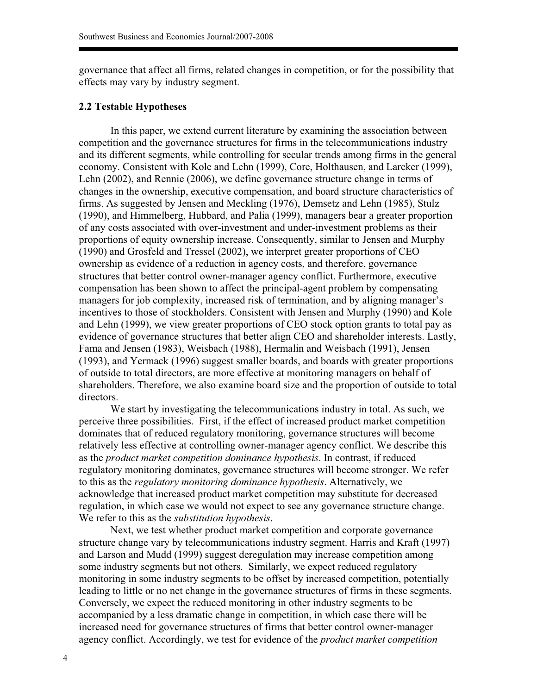governance that affect all firms, related changes in competition, or for the possibility that effects may vary by industry segment.

### **2.2 Testable Hypotheses**

In this paper, we extend current literature by examining the association between competition and the governance structures for firms in the telecommunications industry and its different segments, while controlling for secular trends among firms in the general economy. Consistent with Kole and Lehn (1999), Core, Holthausen, and Larcker (1999), Lehn (2002), and Rennie (2006), we define governance structure change in terms of changes in the ownership, executive compensation, and board structure characteristics of firms. As suggested by Jensen and Meckling (1976), Demsetz and Lehn (1985), Stulz (1990), and Himmelberg, Hubbard, and Palia (1999), managers bear a greater proportion of any costs associated with over-investment and under-investment problems as their proportions of equity ownership increase. Consequently, similar to Jensen and Murphy (1990) and Grosfeld and Tressel (2002), we interpret greater proportions of CEO ownership as evidence of a reduction in agency costs, and therefore, governance structures that better control owner-manager agency conflict. Furthermore, executive compensation has been shown to affect the principal-agent problem by compensating managers for job complexity, increased risk of termination, and by aligning manager's incentives to those of stockholders. Consistent with Jensen and Murphy (1990) and Kole and Lehn (1999), we view greater proportions of CEO stock option grants to total pay as evidence of governance structures that better align CEO and shareholder interests. Lastly, Fama and Jensen (1983), Weisbach (1988), Hermalin and Weisbach (1991), Jensen (1993), and Yermack (1996) suggest smaller boards, and boards with greater proportions of outside to total directors, are more effective at monitoring managers on behalf of shareholders. Therefore, we also examine board size and the proportion of outside to total directors.

We start by investigating the telecommunications industry in total. As such, we perceive three possibilities. First, if the effect of increased product market competition dominates that of reduced regulatory monitoring, governance structures will become relatively less effective at controlling owner-manager agency conflict. We describe this as the *product market competition dominance hypothesis*. In contrast, if reduced regulatory monitoring dominates, governance structures will become stronger. We refer to this as the *regulatory monitoring dominance hypothesis*. Alternatively, we acknowledge that increased product market competition may substitute for decreased regulation, in which case we would not expect to see any governance structure change. We refer to this as the *substitution hypothesis*.

Next, we test whether product market competition and corporate governance structure change vary by telecommunications industry segment. Harris and Kraft (1997) and Larson and Mudd (1999) suggest deregulation may increase competition among some industry segments but not others. Similarly, we expect reduced regulatory monitoring in some industry segments to be offset by increased competition, potentially leading to little or no net change in the governance structures of firms in these segments. Conversely, we expect the reduced monitoring in other industry segments to be accompanied by a less dramatic change in competition, in which case there will be increased need for governance structures of firms that better control owner-manager agency conflict. Accordingly, we test for evidence of the *product market competition*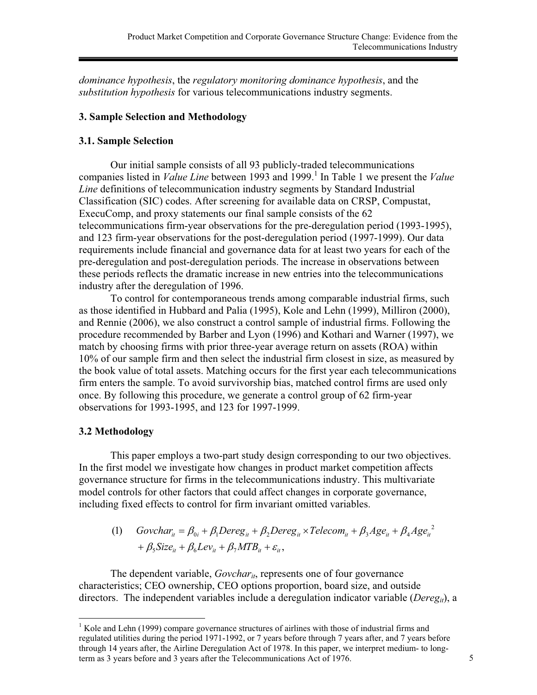*dominance hypothesis*, the *regulatory monitoring dominance hypothesis*, and the *substitution hypothesis* for various telecommunications industry segments.

# **3. Sample Selection and Methodology**

## **3.1. Sample Selection**

Our initial sample consists of all 93 publicly-traded telecommunications companies listed in *Value Line* between 1993 and 1999.<sup>1</sup> In Table 1 we present the *Value Line* definitions of telecommunication industry segments by Standard Industrial Classification (SIC) codes. After screening for available data on CRSP, Compustat, ExecuComp, and proxy statements our final sample consists of the 62 telecommunications firm-year observations for the pre-deregulation period (1993-1995), and 123 firm-year observations for the post-deregulation period (1997-1999). Our data requirements include financial and governance data for at least two years for each of the pre-deregulation and post-deregulation periods. The increase in observations between these periods reflects the dramatic increase in new entries into the telecommunications industry after the deregulation of 1996.

To control for contemporaneous trends among comparable industrial firms, such as those identified in Hubbard and Palia (1995), Kole and Lehn (1999), Milliron (2000), and Rennie (2006), we also construct a control sample of industrial firms. Following the procedure recommended by Barber and Lyon (1996) and Kothari and Warner (1997), we match by choosing firms with prior three-year average return on assets (ROA) within 10% of our sample firm and then select the industrial firm closest in size, as measured by the book value of total assets. Matching occurs for the first year each telecommunications firm enters the sample. To avoid survivorship bias, matched control firms are used only once. By following this procedure, we generate a control group of 62 firm-year observations for 1993-1995, and 123 for 1997-1999.

# **3.2 Methodology**

This paper employs a two-part study design corresponding to our two objectives. In the first model we investigate how changes in product market competition affects governance structure for firms in the telecommunications industry. This multivariate model controls for other factors that could affect changes in corporate governance, including fixed effects to control for firm invariant omitted variables.

(1) 
$$
Govchar_{it} = \beta_{0i} + \beta_1 Dereg_{it} + \beta_2 Dereg_{it} \times Telecom_{it} + \beta_3 Age_{it} + \beta_4 Age_{it}^2
$$
  
+  $\beta_5 Size_{it} + \beta_6 Lev_{it} + \beta_7 MTB_{it} + \varepsilon_{it}$ ,

The dependent variable, *Govchar<sub>it*</sub>, represents one of four governance characteristics; CEO ownership, CEO options proportion, board size, and outside directors. The independent variables include a deregulation indicator variable (*Deregit*), a

 $\overline{a}$ <sup>1</sup> Kole and Lehn (1999) compare governance structures of airlines with those of industrial firms and regulated utilities during the period 1971-1992, or 7 years before through 7 years after, and 7 years before through 14 years after, the Airline Deregulation Act of 1978. In this paper, we interpret medium- to longterm as 3 years before and 3 years after the Telecommunications Act of 1976. 5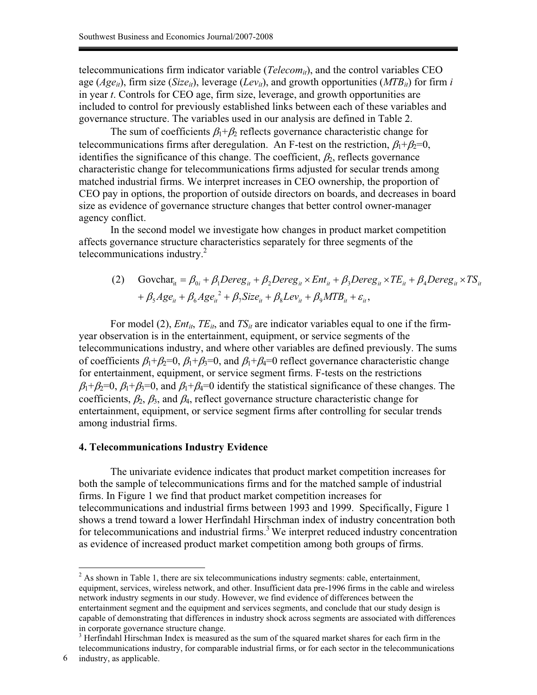telecommunications firm indicator variable (*Telecom<sub>it</sub>*), and the control variables CEO age ( $Age_{it}$ ), firm size (*Size<sub>it</sub>*), leverage ( $Lev_{it}$ ), and growth opportunities ( $MTB_{it}$ ) for firm *i* in year *t*. Controls for CEO age, firm size, leverage, and growth opportunities are included to control for previously established links between each of these variables and governance structure. The variables used in our analysis are defined in Table 2.

The sum of coefficients  $\beta_1 + \beta_2$  reflects governance characteristic change for telecommunications firms after deregulation. An F-test on the restriction,  $\beta_1 + \beta_2 = 0$ , identifies the significance of this change. The coefficient,  $\beta_2$ , reflects governance characteristic change for telecommunications firms adjusted for secular trends among matched industrial firms. We interpret increases in CEO ownership, the proportion of CEO pay in options, the proportion of outside directors on boards, and decreases in board size as evidence of governance structure changes that better control owner-manager agency conflict.

In the second model we investigate how changes in product market competition affects governance structure characteristics separately for three segments of the telecommunications industry. $^{2}$ 

(2) Govchar<sub>it</sub> = 
$$
\beta_{0i} + \beta_1
$$
Pereg<sub>it</sub> +  $\beta_2$ Dereg<sub>it</sub> × Ent<sub>it</sub> +  $\beta_3$ Dereg<sub>it</sub> × TE<sub>it</sub> +  $\beta_4$ Dereg<sub>it</sub> × TS<sub>it</sub>  
+  $\beta_5$ Age<sub>it</sub> +  $\beta_6$ Age<sub>it</sub><sup>2</sup> +  $\beta_7$ Size<sub>it</sub> +  $\beta_8$ Lev<sub>it</sub> +  $\beta_9$ MTB<sub>it</sub> +  $\varepsilon_i$ ,

For model (2),  $Ent_{it}$ ,  $TE_{it}$ , and  $TS_{it}$  are indicator variables equal to one if the firmyear observation is in the entertainment, equipment, or service segments of the telecommunications industry, and where other variables are defined previously. The sums of coefficients  $\beta_1+\beta_2=0$ ,  $\beta_1+\beta_3=0$ , and  $\beta_1+\beta_4=0$  reflect governance characteristic change for entertainment, equipment, or service segment firms. F-tests on the restrictions  $\beta_1+\beta_2=0$ ,  $\beta_1+\beta_3=0$ , and  $\beta_1+\beta_4=0$  identify the statistical significance of these changes. The coefficients,  $\beta_2$ ,  $\beta_3$ , and  $\beta_4$ , reflect governance structure characteristic change for entertainment, equipment, or service segment firms after controlling for secular trends among industrial firms.

#### **4. Telecommunications Industry Evidence**

The univariate evidence indicates that product market competition increases for both the sample of telecommunications firms and for the matched sample of industrial firms. In Figure 1 we find that product market competition increases for telecommunications and industrial firms between 1993 and 1999. Specifically, Figure 1 shows a trend toward a lower Herfindahl Hirschman index of industry concentration both for telecommunications and industrial firms.<sup>3</sup> We interpret reduced industry concentration as evidence of increased product market competition among both groups of firms.

<sup>&</sup>lt;sup>2</sup> As shown in Table 1, there are six telecommunications industry segments: cable, entertainment, equipment, services, wireless network, and other. Insufficient data pre-1996 firms in the cable and wireless network industry segments in our study. However, we find evidence of differences between the entertainment segment and the equipment and services segments, and conclude that our study design is capable of demonstrating that differences in industry shock across segments are associated with differences in corporate governance structure change.

<sup>&</sup>lt;sup>3</sup> Herfindahl Hirschman Index is measured as the sum of the squared market shares for each firm in the telecommunications industry, for comparable industrial firms, or for each sector in the telecommunications

<sup>6</sup> industry, as applicable.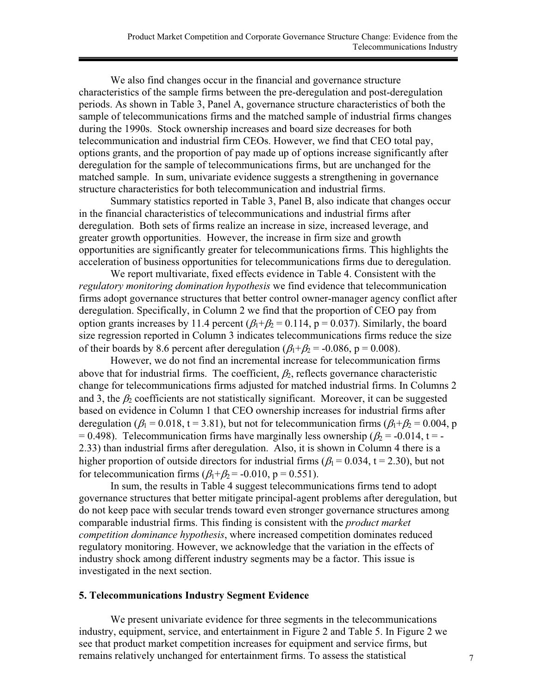We also find changes occur in the financial and governance structure characteristics of the sample firms between the pre-deregulation and post-deregulation periods. As shown in Table 3, Panel A, governance structure characteristics of both the sample of telecommunications firms and the matched sample of industrial firms changes during the 1990s. Stock ownership increases and board size decreases for both telecommunication and industrial firm CEOs. However, we find that CEO total pay, options grants, and the proportion of pay made up of options increase significantly after deregulation for the sample of telecommunications firms, but are unchanged for the matched sample. In sum, univariate evidence suggests a strengthening in governance structure characteristics for both telecommunication and industrial firms.

Summary statistics reported in Table 3, Panel B, also indicate that changes occur in the financial characteristics of telecommunications and industrial firms after deregulation. Both sets of firms realize an increase in size, increased leverage, and greater growth opportunities. However, the increase in firm size and growth opportunities are significantly greater for telecommunications firms. This highlights the acceleration of business opportunities for telecommunications firms due to deregulation.

We report multivariate, fixed effects evidence in Table 4. Consistent with the *regulatory monitoring domination hypothesis* we find evidence that telecommunication firms adopt governance structures that better control owner-manager agency conflict after deregulation. Specifically, in Column 2 we find that the proportion of CEO pay from option grants increases by 11.4 percent  $(\beta_1 + \beta_2 = 0.114, p = 0.037)$ . Similarly, the board size regression reported in Column 3 indicates telecommunications firms reduce the size of their boards by 8.6 percent after deregulation ( $\beta_1 + \beta_2 = -0.086$ , p = 0.008).

However, we do not find an incremental increase for telecommunication firms above that for industrial firms. The coefficient,  $\beta_2$ , reflects governance characteristic change for telecommunications firms adjusted for matched industrial firms. In Columns 2 and 3, the  $\beta_2$  coefficients are not statistically significant. Moreover, it can be suggested based on evidence in Column 1 that CEO ownership increases for industrial firms after deregulation ( $\beta_1 = 0.018$ , t = 3.81), but not for telecommunication firms ( $\beta_1 + \beta_2 = 0.004$ , p = 0.498). Telecommunication firms have marginally less ownership ( $\beta$  = -0.014, t = -2.33) than industrial firms after deregulation. Also, it is shown in Column 4 there is a higher proportion of outside directors for industrial firms ( $\beta_1$  = 0.034, t = 2.30), but not for telecommunication firms  $(\beta_1+\beta_2 = -0.010, p = 0.551)$ .

In sum, the results in Table 4 suggest telecommunications firms tend to adopt governance structures that better mitigate principal-agent problems after deregulation, but do not keep pace with secular trends toward even stronger governance structures among comparable industrial firms. This finding is consistent with the *product market competition dominance hypothesis*, where increased competition dominates reduced regulatory monitoring. However, we acknowledge that the variation in the effects of industry shock among different industry segments may be a factor. This issue is investigated in the next section.

## **5. Telecommunications Industry Segment Evidence**

We present univariate evidence for three segments in the telecommunications industry, equipment, service, and entertainment in Figure 2 and Table 5. In Figure 2 we see that product market competition increases for equipment and service firms, but remains relatively unchanged for entertainment firms. To assess the statistical  $7$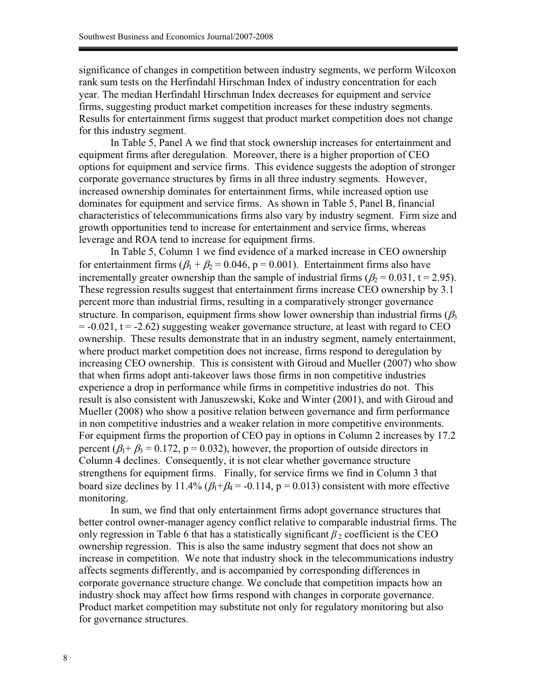significance of changes in competition between industry segments, we perform Wilcoxon rank sum tests on the Herfindahl Hirschman Index of industry concentration for each year. The median Herfindahl Hirschman Index decreases for equipment and service firms, suggesting product market competition increases for these industry segments. Results for entertainment firms suggest that product market competition does not change for this industry segment.

In Table 5, Panel A we find that stock ownership increases for entertainment and equipment firms after deregulation. Moreover, there is a higher proportion of CEO options for equipment and service firms. This evidence suggests the adoption of stronger corporate governance structures by firms in all three industry segments. However, increased ownership dominates for entertainment firms, while increased option use dominates for equipment and service firms. As shown in Table 5, Panel B, financial characteristics of telecommunications firms also vary by industry segment. Firm size and growth opportunities tend to increase for entertainment and service firms, whereas leverage and ROA tend to increase for equipment firms.

In Table 5, Column 1 we find evidence of a marked increase in CEO ownership for entertainment firms ( $\beta_1 + \beta_2 = 0.046$ , p = 0.001). Entertainment firms also have incrementally greater ownership than the sample of industrial firms ( $\beta_2 = 0.031$ , t = 2.95). These regression results suggest that entertainment firms increase CEO ownership by 3.1 percent more than industrial firms, resulting in a comparatively stronger governance structure. In comparison, equipment firms show lower ownership than industrial firms  $(\beta_3)$  $= -0.021$ ,  $t = -2.62$ ) suggesting weaker governance structure, at least with regard to CEO ownership. These results demonstrate that in an industry segment, namely entertainment, where product market competition does not increase, firms respond to deregulation by increasing CEO ownership. This is consistent with Giroud and Mueller (2007) who show that when firms adopt anti-takeover laws those firms in non competitive industries experience a drop in performance while firms in competitive industries do not. This result is also consistent with Januszewski, Koke and Winter (2001), and with Giroud and Mueller (2008) who show a positive relation between governance and firm performance in non competitive industries and a weaker relation in more competitive environments. For equipment firms the proportion of CEO pay in options in Column 2 increases by 17.2 percent ( $\beta_1 + \beta_2 = 0.172$ , p = 0.032), however, the proportion of outside directors in Column 4 declines. Consequently, it is not clear whether governance structure strengthens for equipment firms. Finally, for service firms we find in Column 3 that board size declines by 11.4%  $(\beta_1 + \beta_4 = -0.114, p = 0.013)$  consistent with more effective monitoring.

In sum, we find that only entertainment firms adopt governance structures that better control owner-manager agency conflict relative to comparable industrial firms. The only regression in Table 6 that has a statistically significant  $\beta_2$  coefficient is the CEO ownership regression. This is also the same industry segment that does not show an increase in competition. We note that industry shock in the telecommunications industry affects segments differently, and is accompanied by corresponding differences in corporate governance structure change. We conclude that competition impacts how an industry shock may affect how firms respond with changes in corporate governance. Product market competition may substitute not only for regulatory monitoring but also for governance structures.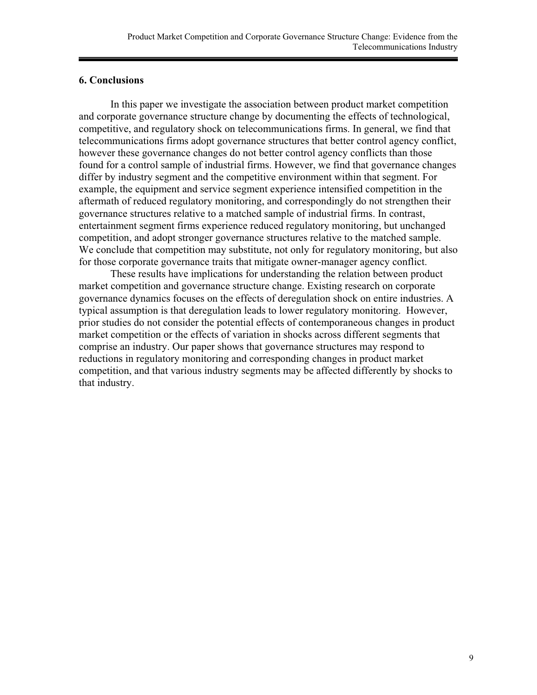## **6. Conclusions**

In this paper we investigate the association between product market competition and corporate governance structure change by documenting the effects of technological, competitive, and regulatory shock on telecommunications firms. In general, we find that telecommunications firms adopt governance structures that better control agency conflict, however these governance changes do not better control agency conflicts than those found for a control sample of industrial firms. However, we find that governance changes differ by industry segment and the competitive environment within that segment. For example, the equipment and service segment experience intensified competition in the aftermath of reduced regulatory monitoring, and correspondingly do not strengthen their governance structures relative to a matched sample of industrial firms. In contrast, entertainment segment firms experience reduced regulatory monitoring, but unchanged competition, and adopt stronger governance structures relative to the matched sample. We conclude that competition may substitute, not only for regulatory monitoring, but also for those corporate governance traits that mitigate owner-manager agency conflict.

These results have implications for understanding the relation between product market competition and governance structure change. Existing research on corporate governance dynamics focuses on the effects of deregulation shock on entire industries. A typical assumption is that deregulation leads to lower regulatory monitoring. However, prior studies do not consider the potential effects of contemporaneous changes in product market competition or the effects of variation in shocks across different segments that comprise an industry. Our paper shows that governance structures may respond to reductions in regulatory monitoring and corresponding changes in product market competition, and that various industry segments may be affected differently by shocks to that industry.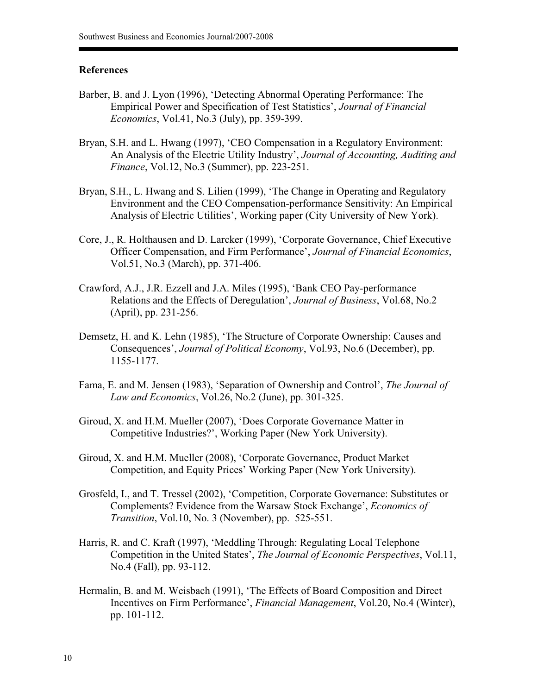## **References**

- Barber, B. and J. Lyon (1996), 'Detecting Abnormal Operating Performance: The Empirical Power and Specification of Test Statistics', *Journal of Financial Economics*, Vol.41, No.3 (July), pp. 359-399.
- Bryan, S.H. and L. Hwang (1997), 'CEO Compensation in a Regulatory Environment: An Analysis of the Electric Utility Industry', *Journal of Accounting, Auditing and Finance*, Vol.12, No.3 (Summer), pp. 223-251.
- Bryan, S.H., L. Hwang and S. Lilien (1999), 'The Change in Operating and Regulatory Environment and the CEO Compensation-performance Sensitivity: An Empirical Analysis of Electric Utilities', Working paper (City University of New York).
- Core, J., R. Holthausen and D. Larcker (1999), 'Corporate Governance, Chief Executive Officer Compensation, and Firm Performance', *Journal of Financial Economics*, Vol.51, No.3 (March), pp. 371-406.
- Crawford, A.J., J.R. Ezzell and J.A. Miles (1995), 'Bank CEO Pay-performance Relations and the Effects of Deregulation', *Journal of Business*, Vol.68, No.2 (April), pp. 231-256.
- Demsetz, H. and K. Lehn (1985), 'The Structure of Corporate Ownership: Causes and Consequences', *Journal of Political Economy*, Vol.93, No.6 (December), pp. 1155-1177.
- Fama, E. and M. Jensen (1983), 'Separation of Ownership and Control', *The Journal of Law and Economics*, Vol.26, No.2 (June), pp. 301-325.
- Giroud, X. and H.M. Mueller (2007), 'Does Corporate Governance Matter in Competitive Industries?', Working Paper (New York University).
- Giroud, X. and H.M. Mueller (2008), 'Corporate Governance, Product Market Competition, and Equity Prices' Working Paper (New York University).
- Grosfeld, I., and T. Tressel (2002), 'Competition, Corporate Governance: Substitutes or Complements? Evidence from the Warsaw Stock Exchange', *Economics of Transition*, Vol.10, No. 3 (November), pp. 525-551.
- Harris, R. and C. Kraft (1997), 'Meddling Through: Regulating Local Telephone Competition in the United States', *The Journal of Economic Perspectives*, Vol.11, No.4 (Fall), pp. 93-112.
- Hermalin, B. and M. Weisbach (1991), 'The Effects of Board Composition and Direct Incentives on Firm Performance', *Financial Management*, Vol.20, No.4 (Winter), pp. 101-112.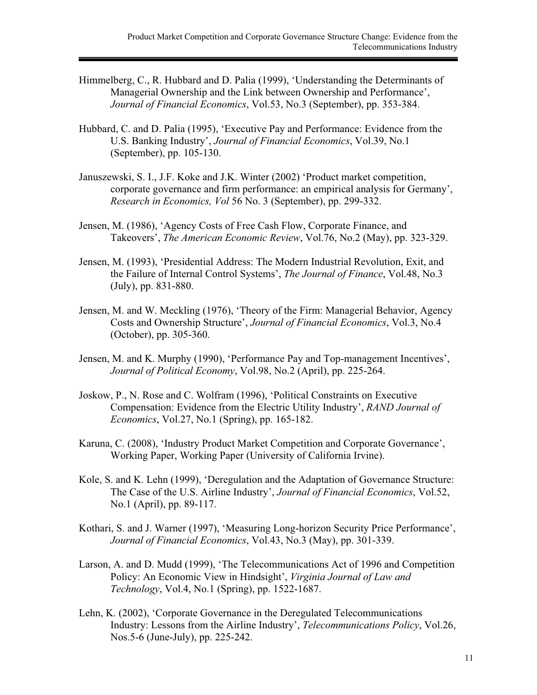- Himmelberg, C., R. Hubbard and D. Palia (1999), 'Understanding the Determinants of Managerial Ownership and the Link between Ownership and Performance', *Journal of Financial Economics*, Vol.53, No.3 (September), pp. 353-384.
- Hubbard, C. and D. Palia (1995), 'Executive Pay and Performance: Evidence from the U.S. Banking Industry', *Journal of Financial Economics*, Vol.39, No.1 (September), pp. 105-130.
- Januszewski, S. I., J.F. Koke and J.K. Winter (2002) 'Product market competition, corporate governance and firm performance: an empirical analysis for Germany', *Research in Economics, Vol* 56 No. 3 (September), pp. 299-332.
- Jensen, M. (1986), 'Agency Costs of Free Cash Flow, Corporate Finance, and Takeovers', *The American Economic Review*, Vol.76, No.2 (May), pp. 323-329.
- Jensen, M. (1993), 'Presidential Address: The Modern Industrial Revolution, Exit, and the Failure of Internal Control Systems', *The Journal of Finance*, Vol.48, No.3 (July), pp. 831-880.
- Jensen, M. and W. Meckling (1976), 'Theory of the Firm: Managerial Behavior, Agency Costs and Ownership Structure', *Journal of Financial Economics*, Vol.3, No.4 (October), pp. 305-360.
- Jensen, M. and K. Murphy (1990), 'Performance Pay and Top-management Incentives', *Journal of Political Economy*, Vol.98, No.2 (April), pp. 225-264.
- Joskow, P., N. Rose and C. Wolfram (1996), 'Political Constraints on Executive Compensation: Evidence from the Electric Utility Industry', *RAND Journal of Economics*, Vol.27, No.1 (Spring), pp. 165-182.
- Karuna, C. (2008), 'Industry Product Market Competition and Corporate Governance', Working Paper, Working Paper (University of California Irvine).
- Kole, S. and K. Lehn (1999), 'Deregulation and the Adaptation of Governance Structure: The Case of the U.S. Airline Industry', *Journal of Financial Economics*, Vol.52, No.1 (April), pp. 89-117.
- Kothari, S. and J. Warner (1997), 'Measuring Long-horizon Security Price Performance', *Journal of Financial Economics*, Vol.43, No.3 (May), pp. 301-339.
- Larson, A. and D. Mudd (1999), 'The Telecommunications Act of 1996 and Competition Policy: An Economic View in Hindsight', *Virginia Journal of Law and Technology*, Vol.4, No.1 (Spring), pp. 1522-1687.
- Lehn, K. (2002), 'Corporate Governance in the Deregulated Telecommunications Industry: Lessons from the Airline Industry', *Telecommunications Policy*, Vol.26, Nos.5-6 (June-July), pp. 225-242.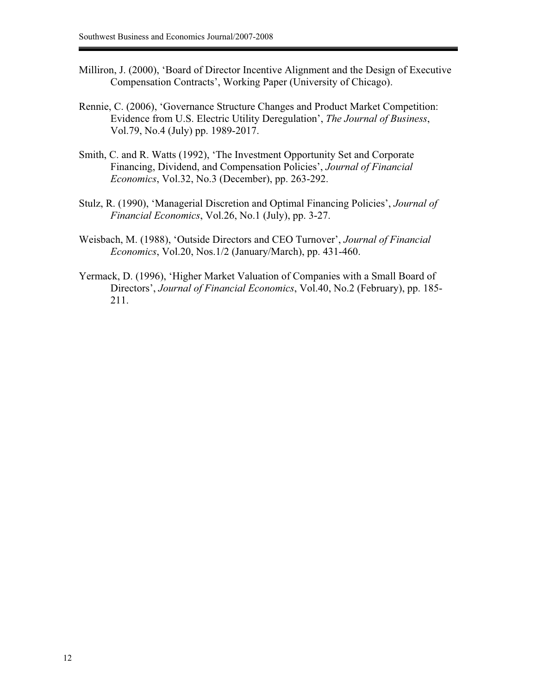- Milliron, J. (2000), 'Board of Director Incentive Alignment and the Design of Executive Compensation Contracts', Working Paper (University of Chicago).
- Rennie, C. (2006), 'Governance Structure Changes and Product Market Competition: Evidence from U.S. Electric Utility Deregulation', *The Journal of Business*, Vol.79, No.4 (July) pp. 1989-2017.
- Smith, C. and R. Watts (1992), 'The Investment Opportunity Set and Corporate Financing, Dividend, and Compensation Policies', *Journal of Financial Economics*, Vol.32, No.3 (December), pp. 263-292.
- Stulz, R. (1990), 'Managerial Discretion and Optimal Financing Policies', *Journal of Financial Economics*, Vol.26, No.1 (July), pp. 3-27.
- Weisbach, M. (1988), 'Outside Directors and CEO Turnover', *Journal of Financial Economics*, Vol.20, Nos.1/2 (January/March), pp. 431-460.
- Yermack, D. (1996), 'Higher Market Valuation of Companies with a Small Board of Directors', *Journal of Financial Economics*, Vol.40, No.2 (February), pp. 185- 211.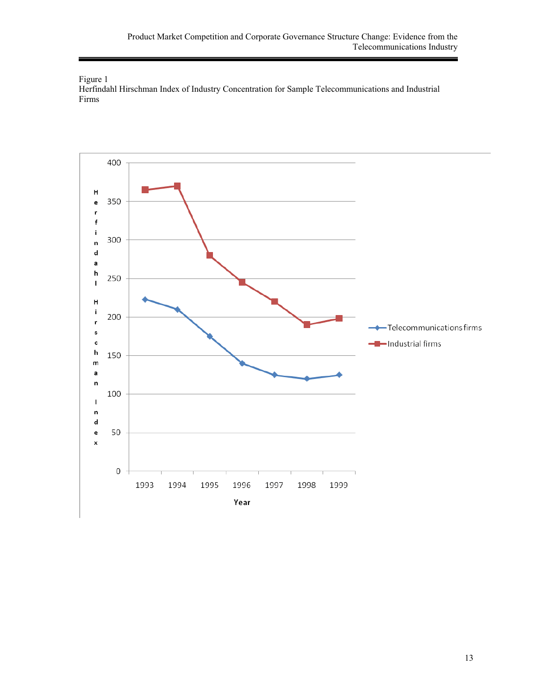Figure 1

Herfindahl Hirschman Index of Industry Concentration for Sample Telecommunications and Industrial Firms

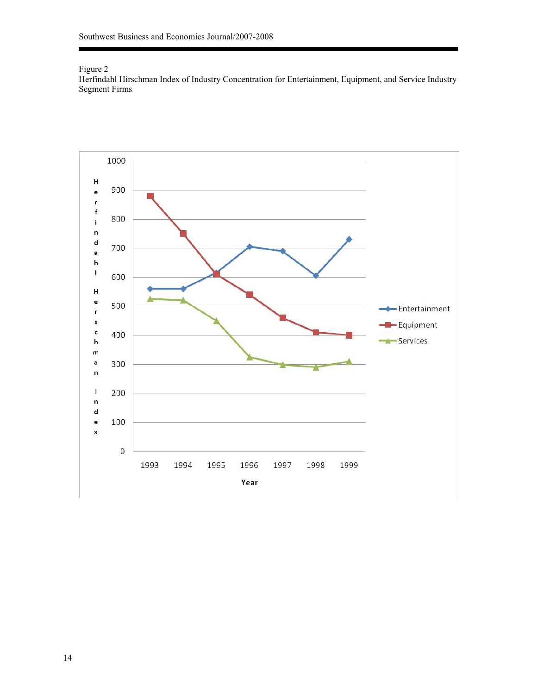## Figure 2

Herfindahl Hirschman Index of Industry Concentration for Entertainment, Equipment, and Service Industry Segment Firms

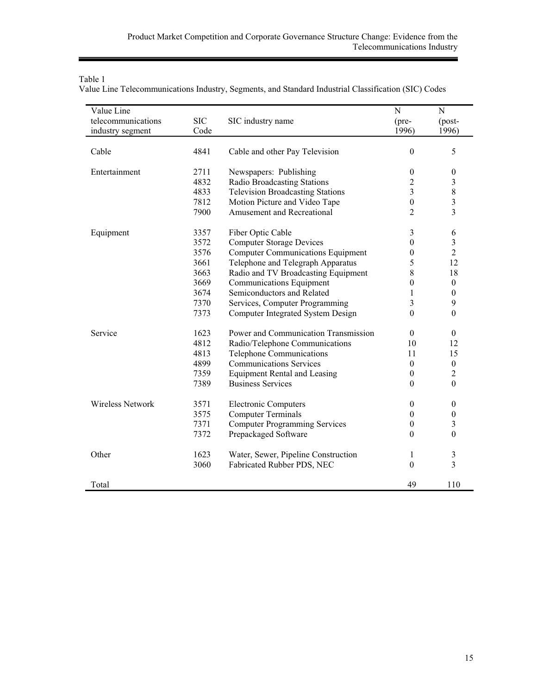| Value Line Telecommunications Industry, Segments, and Standard Industrial Classification (SIC) Codes |  |  |  |  |
|------------------------------------------------------------------------------------------------------|--|--|--|--|
|------------------------------------------------------------------------------------------------------|--|--|--|--|

| Value Line              |              |                                          | ${\bf N}$             | $\mathbf N$                        |
|-------------------------|--------------|------------------------------------------|-----------------------|------------------------------------|
| telecommunications      | <b>SIC</b>   | SIC industry name                        | (pre-                 | (post-                             |
| industry segment        | Code         |                                          | 1996)                 | 1996)                              |
|                         |              |                                          |                       |                                    |
| Cable                   | 4841         | Cable and other Pay Television           | $\boldsymbol{0}$      | 5                                  |
|                         |              |                                          |                       |                                    |
| Entertainment           | 2711         | Newspapers: Publishing                   | $\boldsymbol{0}$      | $\boldsymbol{0}$                   |
|                         | 4832         | Radio Broadcasting Stations              | $\overline{c}$        | 3                                  |
|                         | 4833<br>7812 | <b>Television Broadcasting Stations</b>  | 3<br>$\boldsymbol{0}$ | $\,8\,$<br>$\overline{\mathbf{3}}$ |
|                         |              | Motion Picture and Video Tape            |                       | 3                                  |
|                         | 7900         | Amusement and Recreational               | $\overline{c}$        |                                    |
| Equipment               | 3357         | Fiber Optic Cable                        | 3                     | 6                                  |
|                         | 3572         | <b>Computer Storage Devices</b>          | $\boldsymbol{0}$      | $\mathfrak{Z}$                     |
|                         | 3576         | <b>Computer Communications Equipment</b> | 0                     | $\overline{2}$                     |
|                         | 3661         | Telephone and Telegraph Apparatus        | 5                     | 12                                 |
|                         | 3663         | Radio and TV Broadcasting Equipment      | 8                     | 18                                 |
|                         | 3669         | <b>Communications Equipment</b>          | 0                     | $\boldsymbol{0}$                   |
|                         | 3674         | Semiconductors and Related               | 1                     | $\boldsymbol{0}$                   |
|                         | 7370         | Services, Computer Programming           | 3                     | 9                                  |
|                         | 7373         | Computer Integrated System Design        | $\mathbf{0}$          | $\boldsymbol{0}$                   |
| Service                 | 1623         | Power and Communication Transmission     | $\mathbf{0}$          | $\mathbf{0}$                       |
|                         | 4812         | Radio/Telephone Communications           | 10                    | 12                                 |
|                         | 4813         | Telephone Communications                 | 11                    | 15                                 |
|                         | 4899         | <b>Communications Services</b>           | $\boldsymbol{0}$      | $\boldsymbol{0}$                   |
|                         | 7359         | <b>Equipment Rental and Leasing</b>      | $\boldsymbol{0}$      | $\overline{2}$                     |
|                         | 7389         | <b>Business Services</b>                 | $\mathbf{0}$          | $\mathbf{0}$                       |
| <b>Wireless Network</b> | 3571         | <b>Electronic Computers</b>              | $\boldsymbol{0}$      | $\boldsymbol{0}$                   |
|                         | 3575         | <b>Computer Terminals</b>                | $\boldsymbol{0}$      | $\boldsymbol{0}$                   |
|                         | 7371         | <b>Computer Programming Services</b>     | $\boldsymbol{0}$      | 3                                  |
|                         | 7372         | Prepackaged Software                     | 0                     | $\boldsymbol{0}$                   |
|                         |              |                                          |                       |                                    |
| Other                   | 1623         | Water, Sewer, Pipeline Construction      | 1                     | 3                                  |
|                         | 3060         | Fabricated Rubber PDS, NEC               | $\boldsymbol{0}$      | 3                                  |
| Total                   |              |                                          | 49                    | 110                                |

j,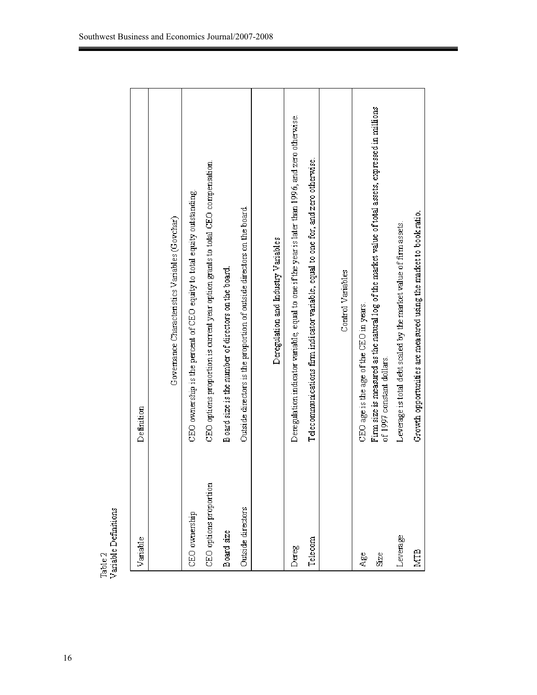| Variable               | Definition                                                                                                                       |
|------------------------|----------------------------------------------------------------------------------------------------------------------------------|
|                        | Governance Characteristics Variables (Govchar)                                                                                   |
| CEO ownership          | CEO ownership is the percent of CEO equity to total equity outstanding.                                                          |
| CEO options proportion | CEO options proportion is current year option grants to total CEO compensation.                                                  |
| Board size             | Board size is the number of directors on the board.                                                                              |
| Outside directors      | Outside directors is the proportion of outside directors on the board.                                                           |
|                        | Deregulation and Industry Variables                                                                                              |
| Dereg                  | Deregulation indicator variable, equal to one if the year is later than 1996, and zero otherwise.                                |
| Telecom                | Telecommunications firm indicator variable, equal to one for, and zero otherwise.                                                |
|                        | Control Variables                                                                                                                |
| Age                    | $CEO$ age is the age of the $CEO$ in years.                                                                                      |
| Size                   | Firm size is measured as the natural log of the market value of total assets, expressed in millions<br>of 1997 constant dollars. |
| Leverage               | Leverage is total debt scaled by the market value of firm assets.                                                                |
| <b>NTB</b>             | Growth opportunities are measured using the market to book ratio.                                                                |

Table 2<br>Variable Definitions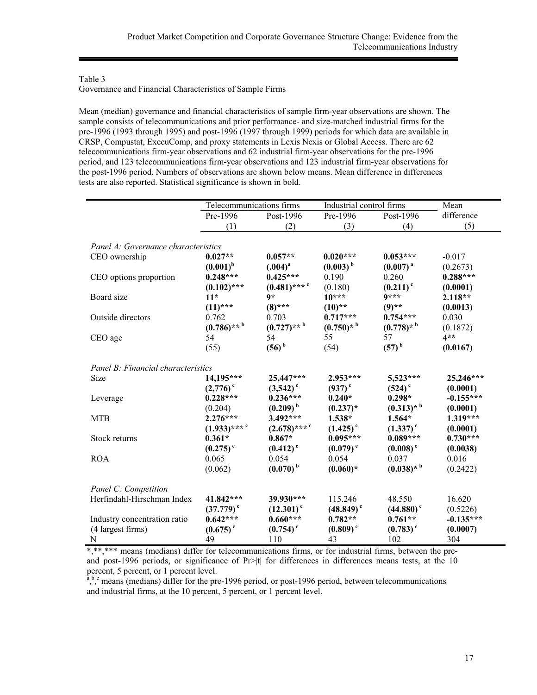Governance and Financial Characteristics of Sample Firms

Mean (median) governance and financial characteristics of sample firm-year observations are shown. The sample consists of telecommunications and prior performance- and size-matched industrial firms for the pre-1996 (1993 through 1995) and post-1996 (1997 through 1999) periods for which data are available in CRSP, Compustat, ExecuComp, and proxy statements in Lexis Nexis or Global Access. There are 62 telecommunications firm-year observations and 62 industrial firm-year observations for the pre-1996 period, and 123 telecommunications firm-year observations and 123 industrial firm-year observations for the post-1996 period. Numbers of observations are shown below means. Mean difference in differences tests are also reported. Statistical significance is shown in bold.

|                                     | Telecommunications firms   |                            | Industrial control firms |                         | Mean        |
|-------------------------------------|----------------------------|----------------------------|--------------------------|-------------------------|-------------|
|                                     | Pre-1996                   | Post-1996                  | Pre-1996                 | Post-1996               | difference  |
|                                     | (1)                        | (2)                        | (3)                      | (4)                     | (5)         |
|                                     |                            |                            |                          |                         |             |
| Panel A: Governance characteristics |                            |                            |                          |                         |             |
| CEO ownership                       | $0.027**$                  | $0.057**$                  | $0.020***$               | $0.053***$              | $-0.017$    |
|                                     | $(0.001)^{b}$              | $(.004)^{a}$               | $(0.003)$ <sup>b</sup>   | (0.007) <sup>a</sup>    | (0.2673)    |
| CEO options proportion              | $0.248***$                 | $0.425***$                 | 0.190                    | 0.260                   | $0.288***$  |
|                                     | $(0.102)$ ***              | $(0.481)$ *** <sup>c</sup> | (0.180)                  | $(0.211)$ <sup>c</sup>  | (0.0001)    |
| Board size                          | $11*$                      | $9*$                       | $10***$                  | $9***$                  | 2.118**     |
|                                     | $(11)$ ***                 | $(8)$ ***                  | $(10)**$                 | $(9)$ **                | (0.0013)    |
| Outside directors                   | 0.762                      | 0.703                      | $0.717***$               | $0.754***$              | 0.030       |
|                                     | $(0.786)$ ** b             | $(0.727)$ ** <sup>b</sup>  | $(0.750)*$               | $(0.778)*$ <sup>b</sup> | (0.1872)    |
| CEO age                             | 54                         | 54                         | 55                       | 57                      | $4**$       |
|                                     | (55)                       | $(56)^b$                   | (54)                     | $(57)^{b}$              | (0.0167)    |
|                                     |                            |                            |                          |                         |             |
| Panel B: Financial characteristics  |                            |                            |                          |                         |             |
| Size                                | 14,195***                  | 25,447***                  | 2,953***                 | 5,523***                | 25,246***   |
|                                     | $(2,776)$ <sup>c</sup>     | $(3,542)$ <sup>c</sup>     | $(937)$ <sup>c</sup>     | $(524)$ <sup>c</sup>    | (0.0001)    |
| Leverage                            | $0.228***$                 | $0.236***$                 | $0.240*$                 | $0.298*$                | $-0.155***$ |
|                                     | (0.204)                    | $(0.209)^{b}$              | $(0.237)^*$              | $(0.313)*$ <sup>b</sup> | (0.0001)    |
| <b>MTB</b>                          | $2.276***$                 | $3.492***$                 | 1.538*                   | 1.564*                  | 1.319***    |
|                                     | $(1.933)$ *** <sup>c</sup> | $(2.678)$ *** <sup>c</sup> | $(1.425)$ <sup>c</sup>   | $(1.337)$ <sup>c</sup>  | (0.0001)    |
| Stock returns                       | $0.361*$                   | $0.867*$                   | $0.095***$               | $0.089***$              | $0.730***$  |
|                                     | $(0.275)$ <sup>c</sup>     | $(0.412)$ <sup>c</sup>     | $(0.079)$ <sup>c</sup>   | $(0.008)$ <sup>c</sup>  | (0.0038)    |
| <b>ROA</b>                          | 0.065                      | 0.054                      | 0.054                    | 0.037                   | 0.016       |
|                                     | (0.062)                    | $(0.070)$ <sup>b</sup>     | $(0.060)*$               | $(0.038)*$ <sup>b</sup> | (0.2422)    |
|                                     |                            |                            |                          |                         |             |
| Panel C: Competition                |                            |                            |                          |                         |             |
| Herfindahl-Hirschman Index          | 41.842***                  | 39.930***                  | 115.246                  | 48.550                  | 16.620      |
|                                     | $(37.779)^{\circ}$         | $(12.301)$ <sup>c</sup>    | $(48.849)$ <sup>c</sup>  | $(44.880)$ <sup>c</sup> | (0.5226)    |
| Industry concentration ratio        | $0.642***$                 | $0.660***$                 | $0.782**$                | $0.761**$               | $-0.135***$ |
| (4 largest firms)                   | $(0.675)$ <sup>c</sup>     | $(0.754)$ <sup>c</sup>     | $(0.809)$ <sup>c</sup>   | $(0.783)$ <sup>c</sup>  | (0.0007)    |
| N                                   | 49                         | 110                        | 43                       | 102                     | 304         |

\*,\*\*,\*\*\* means (medians) differ for telecommunications firms, or for industrial firms, between the preand post-1996 periods, or significance of Pr>|t| for differences in differences means tests, at the 10

percent, 5 percent, or 1 percent level.<br>
<sup>a, b, c</sup> means (medians) differ for the pre-1996 period, or post-1996 period, between telecommunications and industrial firms, at the 10 percent, 5 percent, or 1 percent level.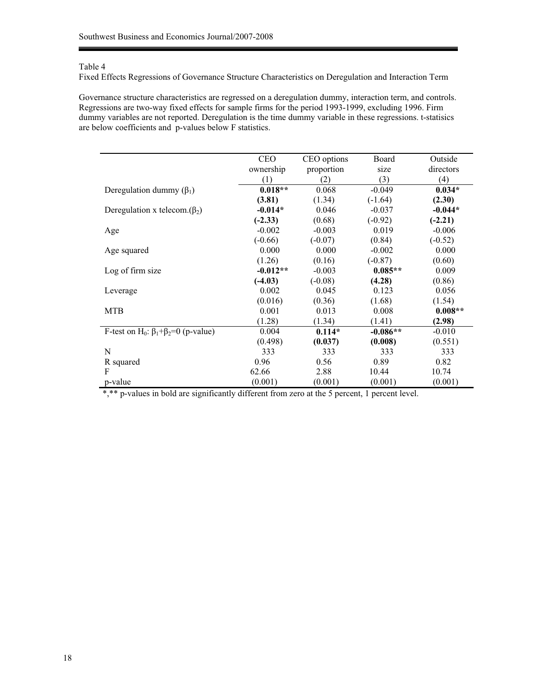Fixed Effects Regressions of Governance Structure Characteristics on Deregulation and Interaction Term

Governance structure characteristics are regressed on a deregulation dummy, interaction term, and controls. Regressions are two-way fixed effects for sample firms for the period 1993-1999, excluding 1996. Firm dummy variables are not reported. Deregulation is the time dummy variable in these regressions. t-statisics are below coefficients and p-values below F statistics.

|                                                              | <b>CEO</b> | CEO options | Board      | Outside   |
|--------------------------------------------------------------|------------|-------------|------------|-----------|
|                                                              | ownership  | proportion  | size       | directors |
|                                                              | (1)        | (2)         | (3)        | (4)       |
| Deregulation dummy $(\beta_1)$                               | $0.018**$  | 0.068       | $-0.049$   | $0.034*$  |
|                                                              | (3.81)     | (1.34)      | $(-1.64)$  | (2.30)    |
| Deregulation x telecom. $(\beta_2)$                          | $-0.014*$  | 0.046       | $-0.037$   | $-0.044*$ |
|                                                              | $(-2.33)$  | (0.68)      | $(-0.92)$  | $(-2.21)$ |
| Age                                                          | $-0.002$   | $-0.003$    | 0.019      | $-0.006$  |
|                                                              | $(-0.66)$  | $(-0.07)$   | (0.84)     | $(-0.52)$ |
| Age squared                                                  | 0.000      | 0.000       | $-0.002$   | 0.000     |
|                                                              | (1.26)     | (0.16)      | $(-0.87)$  | (0.60)    |
| Log of firm size                                             | $-0.012**$ | $-0.003$    | $0.085**$  | 0.009     |
|                                                              | $(-4.03)$  | $(-0.08)$   | (4.28)     | (0.86)    |
| Leverage                                                     | 0.002      | 0.045       | 0.123      | 0.056     |
|                                                              | (0.016)    | (0.36)      | (1.68)     | (1.54)    |
| <b>MTB</b>                                                   | 0.001      | 0.013       | 0.008      | $0.008**$ |
|                                                              | (1.28)     | (1.34)      | (1.41)     | (2.98)    |
| F-test on H <sub>0</sub> : $\beta_1 + \beta_2 = 0$ (p-value) | 0.004      | $0.114*$    | $-0.086**$ | $-0.010$  |
|                                                              | (0.498)    | (0.037)     | (0.008)    | (0.551)   |
| N                                                            | 333        | 333         | 333        | 333       |
| R squared                                                    | 0.96       | 0.56        | 0.89       | 0.82      |
| F                                                            | 62.66      | 2.88        | 10.44      | 10.74     |
| p-value                                                      | (0.001)    | (0.001)     | (0.001)    | (0.001)   |

\*,\*\* p-values in bold are significantly different from zero at the 5 percent, 1 percent level.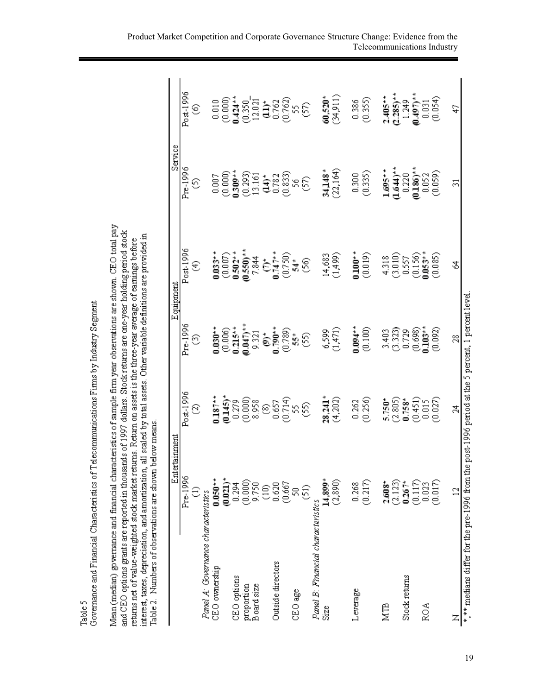| Mean (median) governance and financial characteristics of sample firm year observations are shown. CEO total pay<br>and CEO options grants are reported in thousands of 1997 dollars. Stock returns are one-year holding period stock<br>interest, taxes, depreciation, and amortization, all scaled by total assets. Other variable definitions are provided in<br>returns net of value-weighted stock market returns. Return on assets is the three-year average of earnings before<br>Table 2. Numbers of observations are shown below means |                 |                                                    |              |               |              |                         |
|-------------------------------------------------------------------------------------------------------------------------------------------------------------------------------------------------------------------------------------------------------------------------------------------------------------------------------------------------------------------------------------------------------------------------------------------------------------------------------------------------------------------------------------------------|-----------------|----------------------------------------------------|--------------|---------------|--------------|-------------------------|
|                                                                                                                                                                                                                                                                                                                                                                                                                                                                                                                                                 | Entertainment   |                                                    |              | Equipment     | Service      |                         |
|                                                                                                                                                                                                                                                                                                                                                                                                                                                                                                                                                 | Pre-1996        | Post-1996                                          | Pre-1996     | Post-1996     | Pre-1996     | Post-1996               |
|                                                                                                                                                                                                                                                                                                                                                                                                                                                                                                                                                 | €               | ල                                                  | €            | E             | ⊙            | €                       |
| Panel A: Governance characteristics                                                                                                                                                                                                                                                                                                                                                                                                                                                                                                             |                 |                                                    |              |               |              |                         |
| $CEO$ ownership                                                                                                                                                                                                                                                                                                                                                                                                                                                                                                                                 | $0.050**$       | $0.187**$                                          | $0.030**$    | $0.033**$     | 0.007        | 0.010                   |
|                                                                                                                                                                                                                                                                                                                                                                                                                                                                                                                                                 | $(0.021)^*$     | $(0.145)$ *                                        | (0.006)      | $(0.007)$     | (0.000)      | (0.000)                 |
| CEO options                                                                                                                                                                                                                                                                                                                                                                                                                                                                                                                                     | 0.294           | 0.279                                              | $0.215**$    | $0.502**$     | $0.309**$    | $0.424**$               |
| proportion                                                                                                                                                                                                                                                                                                                                                                                                                                                                                                                                      | (0.000)         | (0.000)                                            | $(0.047)$ ** | $(0.550)$ **  | (0.293)      | (0.350)                 |
| Board size                                                                                                                                                                                                                                                                                                                                                                                                                                                                                                                                      | 9.750           | 8.958                                              | 9.321        | 7.844         | 13.161       | 12.021                  |
|                                                                                                                                                                                                                                                                                                                                                                                                                                                                                                                                                 | $\frac{6}{5}$   | ම                                                  | ້            | έ             | $(14)^*$     | à                       |
| Outside directors                                                                                                                                                                                                                                                                                                                                                                                                                                                                                                                               | 0.620           | 0.657                                              | $0.790**$    | $0.747**$     | 0.782        | 0.762                   |
|                                                                                                                                                                                                                                                                                                                                                                                                                                                                                                                                                 | (0.667)         | (0.714)                                            | (0.789)      | (0.750)       | (0.833)      | (0.762)                 |
| CEO age                                                                                                                                                                                                                                                                                                                                                                                                                                                                                                                                         | 50              |                                                    | \$5*         | $\frac{1}{2}$ | S,           | S,                      |
|                                                                                                                                                                                                                                                                                                                                                                                                                                                                                                                                                 | සි              | 56                                                 | SS)          | 36)           | ડિ           | S)                      |
| Panel B: Financial characteristics                                                                                                                                                                                                                                                                                                                                                                                                                                                                                                              |                 |                                                    |              |               |              |                         |
| Size                                                                                                                                                                                                                                                                                                                                                                                                                                                                                                                                            | $14,899*$       | $28,241*$                                          | 6,599        | 14,683        | 34,148*      | $60,520*$               |
|                                                                                                                                                                                                                                                                                                                                                                                                                                                                                                                                                 | (2, 890)        | (4,202)                                            | (1,471)      | (1,499)       | (22, 164)    | (34,911)                |
| Leverage                                                                                                                                                                                                                                                                                                                                                                                                                                                                                                                                        | 0.268           | 0.262                                              | $0.094**$    | $0.100^{**}$  | 0.300        | 0.386                   |
|                                                                                                                                                                                                                                                                                                                                                                                                                                                                                                                                                 | (0.217)         | (0.256)                                            | (0.100)      | (0.019)       | (0.335)      | (0.355)                 |
| <b>NTB</b>                                                                                                                                                                                                                                                                                                                                                                                                                                                                                                                                      | $2.608*$        | 5.750*                                             | 3.403        | 4.318         | $1.695**$    | $2.405**$               |
|                                                                                                                                                                                                                                                                                                                                                                                                                                                                                                                                                 | (2.123)         | (2.805)                                            | (3.323)      | (3.010)       | $1.644$ )**  | $(2.285)$ <sup>**</sup> |
| Stock returns                                                                                                                                                                                                                                                                                                                                                                                                                                                                                                                                   | $0.267*$        | $0.758*$                                           | 0.729        | 0.557         | 0.220        | 1.249                   |
|                                                                                                                                                                                                                                                                                                                                                                                                                                                                                                                                                 | (0.117)         | (0.451)                                            | (0.698)      | (0.156)       | $(0.186)$ ** | $(0.497)$ **            |
| <b>ROA</b>                                                                                                                                                                                                                                                                                                                                                                                                                                                                                                                                      | 0.023           | 0.015                                              | $0.103**$    | $0.053**$     | 0.052        | 0.031                   |
|                                                                                                                                                                                                                                                                                                                                                                                                                                                                                                                                                 | (0.017)         | (0.027)                                            | (0.092)      | (0.085)       | (0.059)      | (0.054)                 |
|                                                                                                                                                                                                                                                                                                                                                                                                                                                                                                                                                 | $\overline{12}$ | 乌                                                  | ≋            | Z             | 31           | A,                      |
| *,** medians differ for the pre-1996 from the                                                                                                                                                                                                                                                                                                                                                                                                                                                                                                   |                 | post-1996 period at the 5 percent, 1 percent level |              |               |              |                         |

19